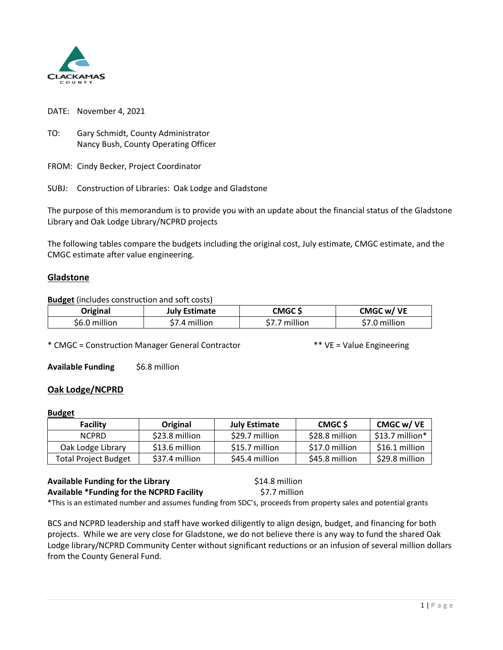

DATE: November 4, 2021

TO: Gary Schmidt, County Administrator Nancy Bush, County Operating Officer

FROM: Cindy Becker, Project Coordinator

SUBJ: Construction of Libraries: Oak Lodge and Gladstone

The purpose of this memorandum is to provide you with an update about the financial status of the Gladstone Library and Oak Lodge Library/NCPRD projects

The following tables compare the budgets including the original cost, July estimate, CMGC estimate, and the CMGC estimate after value engineering.

## **Gladstone**

**Budget** (includes construction and soft costs)

| Original      | <b>July Estimate</b> | CMGC \$   | CMGC w/ VE    |
|---------------|----------------------|-----------|---------------|
| \$6.0 million | \$7.4 million        | 7 million | \$7.0 million |

\* CMGC = Construction Manager General Contractor \*\* VE = Value Engineering

**Available Funding** \$6.8 million

## **Oak Lodge/NCPRD**

## **Budget**

|  | Facility                    | Original       | <b>July Estimate</b> | CMGC \$        | CMGC w/ VE       |
|--|-----------------------------|----------------|----------------------|----------------|------------------|
|  | NCPRD.                      | \$23.8 million | \$29.7 million       | \$28.8 million | $$13.7$ million* |
|  | Oak Lodge Library           | \$13.6 million | \$15.7 million       | \$17.0 million | \$16.1 million   |
|  | <b>Total Project Budget</b> | \$37.4 million | \$45.4 million       | \$45.8 million | \$29.8 million   |

## **Available Funding for the Library <b>Example 20** \$14.8 million **Available \*Funding for the NCPRD Facility** \$7.7 million

\*This is an estimated number and assumes funding from SDC's, proceeds from property sales and potential grants

BCS and NCPRD leadership and staff have worked diligently to align design, budget, and financing for both projects. While we are very close for Gladstone, we do not believe there is any way to fund the shared Oak Lodge library/NCPRD Community Center without significant reductions or an infusion of several million dollars from the County General Fund.

1 | Page